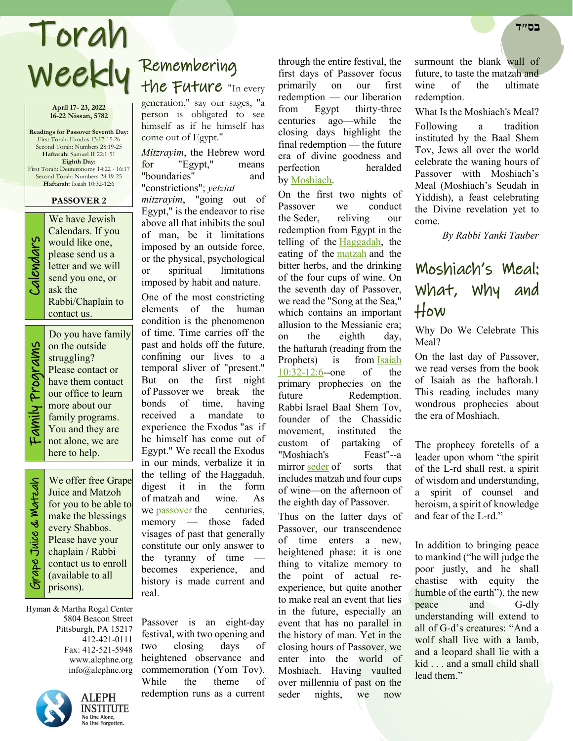# Torah **בס״ד**

**April 17- 23, 2022 16-22 Nissan, 5782**

**Readings for Passover Seventh Day:** First Torah: Exodus 13:17-15:26 Second Torah: Numbers 28:19-25 **Haftarah:** Samuel II 22:1-51 **Eighth Day:** First Torah: Deuteronomy 14:22 - 16:17 Second Torah: Numbers 28:19-25 **Haftarah:** Isaiah 10:32-12:6

#### **PASSOVER 2**



We have Jewish<br>Calendars. If you<br>would like one,<br>please send us a<br>letter and we will<br>send you one, or<br>ask the Calendars. If you would like one, please send us a letter and we will send you one, or ask the Rabbi/Chaplain to contact us.

> Do you have family on the outside struggling? Please contact or have them contact our office to learn more about our family programs.

Family Programs Family Programs

You and they are not alone, we are here to help. Grape Juice & Matzah We offer free Grape **Sirape Juice & Watzah** Juice and Matzoh for you to be able to make the blessings every Shabbos. Please have your chaplain / Rabbi contact us to enroll

Hyman & Martha Rogal Center 5804 Beacon Street Pittsburgh, PA 15217 412-421-0111 Fax: 412-521-5948 www.alephne.org info@alephne.org

(available to all

prisons).



**ALEPH INSTITUTE** No One Alone, No One Forgotten.

## Remembering Weekly Remembering<br>Weekly the Future "In every

generation," say our sages, "a person is obligated to see himself as if he himself has come out of Egypt."

*Mitzrayim*, the Hebrew word for "Egypt," means "boundaries" and "constrictions"; *yetziat* 

*mitzrayim*, "going out of Egypt," is the endeavor to rise above all that inhibits the soul of man, be it limitations imposed by an outside force, or the physical, psychological or spiritual limitations imposed by habit and nature.

One of the most constricting elements of the human condition is the phenomenon of time. Time carries off the past and holds off the future, confining our lives to a temporal sliver of "present." But on the first night of Passover we break the bonds of time, having received a mandate to experience the Exodus "as if he himself has come out of Egypt." We recall the Exodus in our minds, verbalize it in the telling of the Haggadah, digest it in the form of matzah and wine. As we [passover](https://www.alephne.org/holidays/passover/default_cdo/jewish/Passover.htm) the centuries, memory — those faded visages of past that generally constitute our only answer to the tyranny of time becomes experience, and history is made current and real.

Passover is an eight-day festival, with two opening and two closing days of heightened observance and commemoration (Yom Tov). While the theme of redemption runs as a current

through the entire festival, the first days of Passover focus primarily on our first redemption — our liberation from Egypt thirty-three centuries ago—while the closing days highlight the final redemption — the future era of divine goodness and perfection heralded by [Moshiach.](https://www.alephne.org/article.asp?AID=332562)

On the first two nights of Passover we conduct the Seder, reliving our redemption from Egypt in the telling of the [Haggadah,](https://www.alephne.org/holidays/passover/pesach_cdo/aid/1735/jewish/Haggadah.htm) the eating of the [matzah](https://www.alephne.org/holidays/passover/pesach_cdo/aid/1747/jewish/The-Matzo.htm) and the bitter herbs, and the drinking of the four cups of wine. On the seventh day of Passover, we read the "Song at the Sea," which contains an important allusion to the Messianic era; on the eighth day, the haftarah (reading from the Prophets) is from Isaiah [10:32-12:6-](https://www.alephne.org/library/article_cdo/aid/2859/jewish/Isaiah-on-Moshiach.htm)-one of the primary prophecies on the future Redemption. Rabbi Israel Baal Shem Tov, founder of the Chassidic movement, instituted the custom of partaking of "Moshiach's Feast"--a mirror [seder](https://www.alephne.org/holidays/passover/pesach_cdo/aid/1980/jewish/Passover-Seder.htm) of sorts that includes matzah and four cups of wine—on the afternoon of the eighth day of Passover.

Thus on the latter days of Passover, our transcendence of time enters a new, heightened phase: it is one thing to vitalize memory to the point of actual reexperience, but quite another to make real an event that lies in the future, especially an event that has no parallel in the history of man. Yet in the closing hours of Passover, we enter into the world of Moshiach. Having vaulted over millennia of past on the seder nights, we now

surmount the blank wall of future, to taste the matzah and wine of the ultimate redemption.

What Is the Moshiach's Meal? Following a tradition instituted by the Baal Shem Tov, Jews all over the world celebrate the waning hours of Passover with Moshiach's Meal (Moshiach's Seudah in Yiddish), a feast celebrating the Divine revelation yet to come.

*By Rabbi Yanki Tauber* 

## Moshiach's Meal: What, Why and How

Why Do We Celebrate This Meal?

On the last day of Passover, we read verses from the book of Isaiah as the haftorah.1 This reading includes many wondrous prophecies about the era of Moshiach.

The prophecy foretells of a leader upon whom "the spirit of the L‑rd shall rest, a spirit of wisdom and understanding, a spirit of counsel and heroism, a spirit of knowledge and fear of the L‑rd."

In addition to bringing peace to mankind ("he will judge the poor justly, and he shall chastise with equity the humble of the earth"), the new peace and G-dly understanding will extend to all of G‑d's creatures: "And a wolf shall live with a lamb, and a leopard shall lie with a kid . . . and a small child shall lead them."